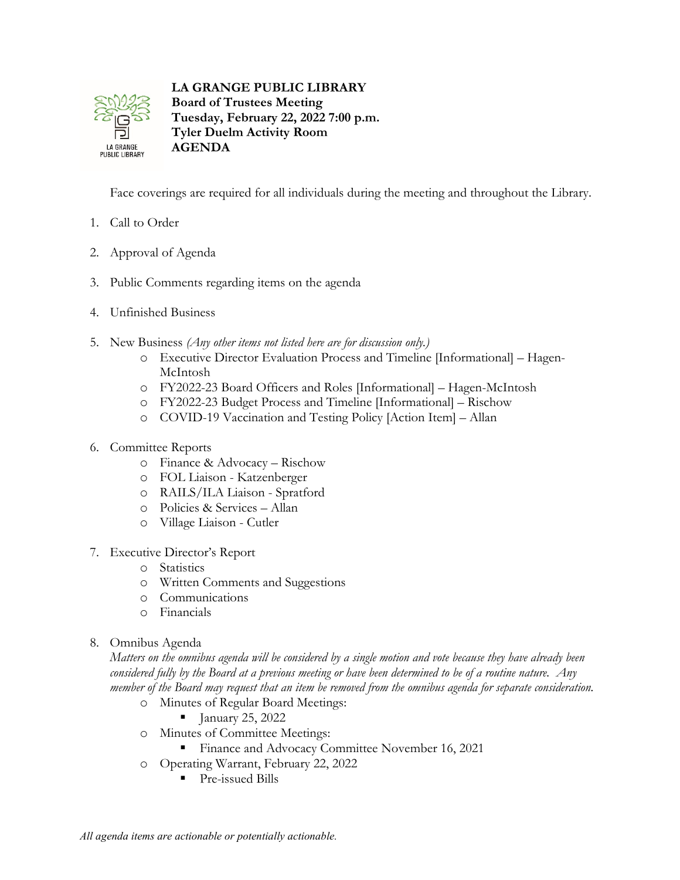

**LA GRANGE PUBLIC LIBRARY Board of Trustees Meeting Tuesday, February 22, 2022 7:00 p.m. Tyler Duelm Activity Room AGENDA**

Face coverings are required for all individuals during the meeting and throughout the Library.

- 1. Call to Order
- 2. Approval of Agenda
- 3. Public Comments regarding items on the agenda
- 4. Unfinished Business
- 5. New Business *(Any other items not listed here are for discussion only.)*
	- o Executive Director Evaluation Process and Timeline [Informational] Hagen-McIntosh
	- o FY2022-23 Board Officers and Roles [Informational] Hagen-McIntosh
	- o FY2022-23 Budget Process and Timeline [Informational] Rischow
	- o COVID-19 Vaccination and Testing Policy [Action Item] Allan
- 6. Committee Reports
	- o Finance & Advocacy Rischow
	- o FOL Liaison Katzenberger
	- o RAILS/ILA Liaison Spratford
	- o Policies & Services Allan
	- o Village Liaison Cutler
- 7. Executive Director's Report
	- o Statistics
	- o Written Comments and Suggestions
	- o Communications
	- o Financials
- 8. Omnibus Agenda

*Matters on the omnibus agenda will be considered by a single motion and vote because they have already been considered fully by the Board at a previous meeting or have been determined to be of a routine nature. Any member of the Board may request that an item be removed from the omnibus agenda for separate consideration.*

- o Minutes of Regular Board Meetings:
	- $\blacksquare$  January 25, 2022
- o Minutes of Committee Meetings:
	- **Finance and Advocacy Committee November 16, 2021**
- o Operating Warrant, February 22, 2022
	- **Pre-issued Bills**